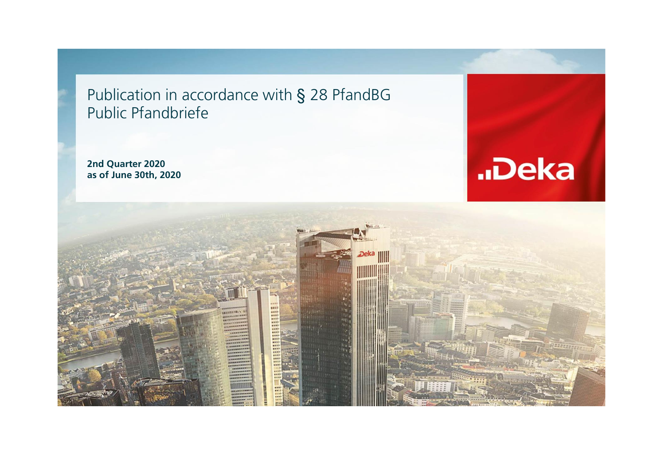Publication in accordance with § 28 PfandBG Public Pfandbriefe

**2nd Quarter 2020 as of June 30th, 2020**



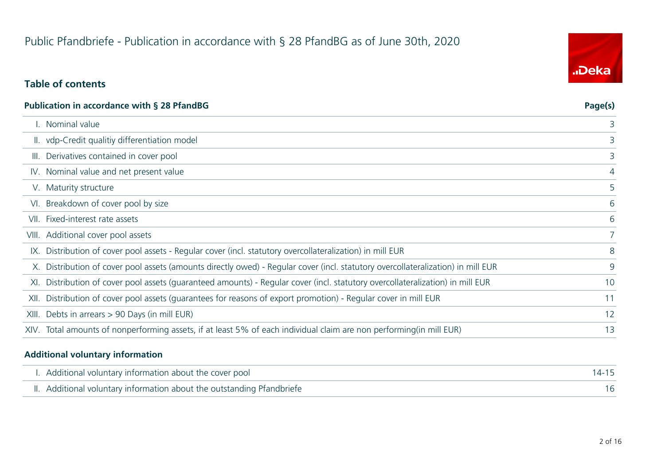# **Table of contents**

|      | <b>Publication in accordance with § 28 PfandBG</b>                                                                               | Page(s) |
|------|----------------------------------------------------------------------------------------------------------------------------------|---------|
|      | I. Nominal value                                                                                                                 | 3       |
|      | II. vdp-Credit qualitiy differentiation model                                                                                    | 3       |
|      | III. Derivatives contained in cover pool                                                                                         | 3       |
|      | IV. Nominal value and net present value                                                                                          | 4       |
|      | V. Maturity structure                                                                                                            | 5       |
|      | VI. Breakdown of cover pool by size                                                                                              | 6       |
| VII. | Fixed-interest rate assets                                                                                                       | 6       |
|      | VIII. Additional cover pool assets                                                                                               |         |
|      | IX. Distribution of cover pool assets - Regular cover (incl. statutory overcollateralization) in mill EUR                        | 8       |
|      | X. Distribution of cover pool assets (amounts directly owed) - Regular cover (incl. statutory overcollateralization) in mill EUR | 9       |
|      | XI. Distribution of cover pool assets (guaranteed amounts) - Regular cover (incl. statutory overcollateralization) in mill EUR   | 10      |
|      | XII. Distribution of cover pool assets (quarantees for reasons of export promotion) - Regular cover in mill EUR                  | 11      |
|      | XIII. Debts in arrears > 90 Days (in mill EUR)                                                                                   | 12      |
|      | XIV. Total amounts of nonperforming assets, if at least 5% of each individual claim are non performing(in mill EUR)              | 13      |
|      |                                                                                                                                  |         |

#### **Additional voluntary information**

| I. Additional voluntary information about the cover pool               |  |
|------------------------------------------------------------------------|--|
| II. Additional voluntary information about the outstanding Pfandbriefe |  |

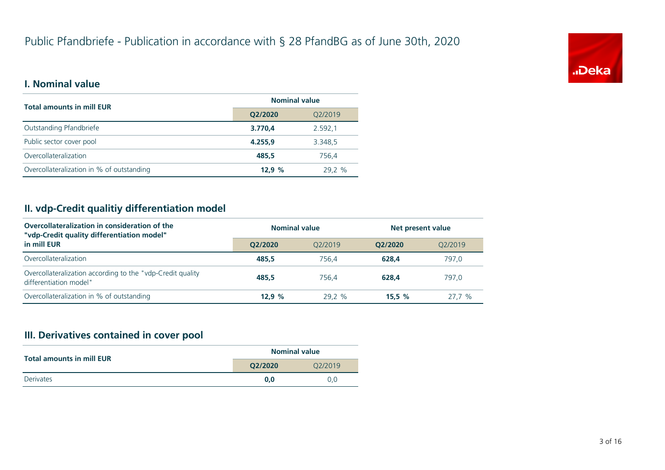

#### **I. Nominal value**

| <b>Total amounts in mill EUR</b>          | <b>Nominal value</b> |         |  |
|-------------------------------------------|----------------------|---------|--|
|                                           | Q2/2020              | Q2/2019 |  |
| Outstanding Pfandbriefe                   | 3.770,4              | 2.592,1 |  |
| Public sector cover pool                  | 4.255.9              | 3.348,5 |  |
| Overcollateralization                     | 485.5                | 756.4   |  |
| Overcollateralization in % of outstanding | 12.9%                | 29.2 %  |  |

# **II. vdp-Credit qualitiy differentiation model**

| Overcollateralization in consideration of the<br>"vdp-Credit quality differentiation model" | <b>Nominal value</b> |                      | Net present value |         |
|---------------------------------------------------------------------------------------------|----------------------|----------------------|-------------------|---------|
| in mill EUR                                                                                 | O2/2020              | O <sub>2</sub> /2019 | O2/2020           | O2/2019 |
| Overcollateralization                                                                       | 485.5                | 756.4                | 628.4             | 797,0   |
| Overcollateralization according to the "vdp-Credit quality<br>differentiation model"        | 485.5                | 756.4                | 628.4             | 797.0   |
| Overcollateralization in % of outstanding                                                   | 12.9%                | 29.2 %               | 15.5%             | 27.7%   |

#### **III. Derivatives contained in cover pool**

| <b>Total amounts in mill EUR</b> | <b>Nominal value</b> |         |  |
|----------------------------------|----------------------|---------|--|
|                                  | O2/2020              | O2/2019 |  |
| Derivates                        | 0.0                  | 0.0     |  |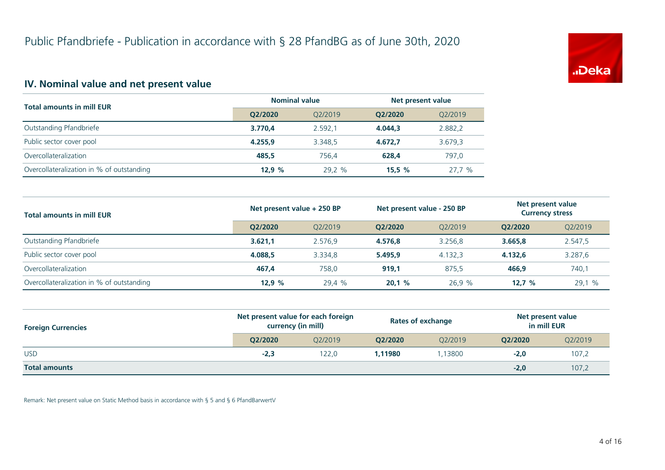

# **IV. Nominal value and net present value**

| <b>Total amounts in mill EUR</b>          | <b>Nominal value</b> |         | Net present value |         |
|-------------------------------------------|----------------------|---------|-------------------|---------|
|                                           | Q2/2020              | O2/2019 | O2/2020           | O2/2019 |
| Outstanding Pfandbriefe                   | 3.770.4              | 2.592.1 | 4.044.3           | 2.882,2 |
| Public sector cover pool                  | 4.255.9              | 3.348.5 | 4.672.7           | 3.679,3 |
| Overcollateralization                     | 485.5                | 756.4   | 628.4             | 797.0   |
| Overcollateralization in % of outstanding | 12.9%                | 29.2 %  | 15.5%             | 27,7 %  |

| <b>Total amounts in mill EUR</b>          | Net present value + 250 BP |         | Net present value - 250 BP |         | Net present value<br><b>Currency stress</b> |         |
|-------------------------------------------|----------------------------|---------|----------------------------|---------|---------------------------------------------|---------|
|                                           | O2/2020                    | O2/2019 | O2/2020                    | O2/2019 | O2/2020                                     | Q2/2019 |
| Outstanding Pfandbriefe                   | 3.621.1                    | 2.576.9 | 4.576.8                    | 3.256.8 | 3.665.8                                     | 2.547,5 |
| Public sector cover pool                  | 4.088.5                    | 3.334.8 | 5.495.9                    | 4.132.3 | 4.132.6                                     | 3.287,6 |
| Overcollateralization                     | 467.4                      | 758.0   | 919,1                      | 875.5   | 466.9                                       | 740,1   |
| Overcollateralization in % of outstanding | 12.9%                      | 29.4 %  | 20,1%                      | 26.9%   | 12.7%                                       | 29,1 %  |

| <b>Foreign Currencies</b> | Net present value for each foreign<br>currency (in mill) |         | <b>Rates of exchange</b> |         | Net present value<br>in mill EUR |         |
|---------------------------|----------------------------------------------------------|---------|--------------------------|---------|----------------------------------|---------|
|                           | O2/2020                                                  | 02/2019 | O2/2020                  | O2/2019 | O2/2020                          | Q2/2019 |
| <b>USD</b>                | $-2,3$                                                   | 122,0   | 1.11980                  | .13800  | $-2,0$                           | 107,2   |
| <b>Total amounts</b>      |                                                          |         |                          |         | $-2,0$                           | 107,2   |

Remark: Net present value on Static Method basis in accordance with § 5 and § 6 PfandBarwertV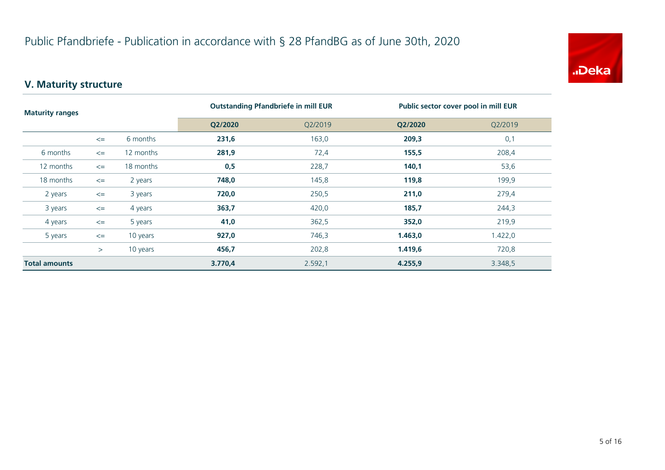

# **V. Maturity structure**

| <b>Maturity ranges</b> |        |           | <b>Outstanding Pfandbriefe in mill EUR</b> |         | Public sector cover pool in mill EUR |         |  |
|------------------------|--------|-----------|--------------------------------------------|---------|--------------------------------------|---------|--|
|                        |        | Q2/2020   | Q2/2019                                    | Q2/2020 | Q2/2019                              |         |  |
|                        | $\leq$ | 6 months  | 231,6                                      | 163,0   | 209,3                                | 0,1     |  |
| 6 months               | $\leq$ | 12 months | 281,9                                      | 72,4    | 155,5                                | 208,4   |  |
| 12 months              | $\leq$ | 18 months | 0,5                                        | 228,7   | 140,1                                | 53,6    |  |
| 18 months              | $\leq$ | 2 years   | 748,0                                      | 145,8   | 119,8                                | 199,9   |  |
| 2 years                | $\leq$ | 3 years   | 720,0                                      | 250,5   | 211,0                                | 279,4   |  |
| 3 years                | $\leq$ | 4 years   | 363,7                                      | 420,0   | 185,7                                | 244,3   |  |
| 4 years                | $\leq$ | 5 years   | 41,0                                       | 362,5   | 352,0                                | 219,9   |  |
| 5 years                | $\leq$ | 10 years  | 927,0                                      | 746,3   | 1.463,0                              | 1.422,0 |  |
|                        | $\geq$ | 10 years  | 456,7                                      | 202,8   | 1.419,6                              | 720,8   |  |
| <b>Total amounts</b>   |        |           | 3.770,4                                    | 2.592,1 | 4.255,9                              | 3.348,5 |  |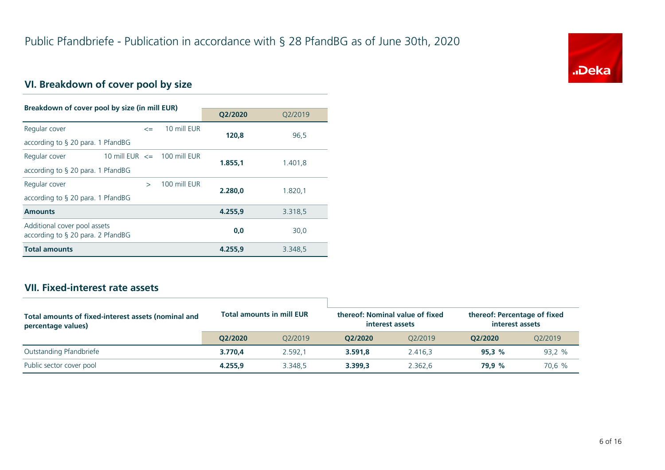

# **VI. Breakdown of cover pool by size**

| Breakdown of cover pool by size (in mill EUR)                        |                                   |  |              |         |         |
|----------------------------------------------------------------------|-----------------------------------|--|--------------|---------|---------|
|                                                                      |                                   |  |              | Q2/2020 | Q2/2019 |
| Regular cover                                                        | $\leq$                            |  | 10 mill EUR  | 120,8   | 96,5    |
| according to $\S$ 20 para. 1 PfandBG                                 |                                   |  |              |         |         |
| Regular cover                                                        | 10 mill $EUR \leq 100$ mill $EUR$ |  |              | 1.855.1 | 1.401,8 |
| according to $\S$ 20 para. 1 PfandBG                                 |                                   |  |              |         |         |
| Regular cover                                                        | $\rightarrow$                     |  | 100 mill FUR | 2.280.0 | 1.820,1 |
| according to $\S$ 20 para. 1 PfandBG                                 |                                   |  |              |         |         |
| <b>Amounts</b>                                                       |                                   |  |              | 4.255.9 | 3.318,5 |
| Additional cover pool assets<br>according to $\S$ 20 para. 2 PfandBG |                                   |  |              | 0,0     | 30,0    |
| <b>Total amounts</b>                                                 |                                   |  |              | 4.255.9 | 3.348,5 |

## **VII. Fixed-interest rate assets**

| Total amounts of fixed-interest assets (nominal and<br>percentage values) | <b>Total amounts in mill EUR</b> |         | thereof: Nominal value of fixed<br>interest assets |         | thereof: Percentage of fixed<br>interest assets |         |
|---------------------------------------------------------------------------|----------------------------------|---------|----------------------------------------------------|---------|-------------------------------------------------|---------|
|                                                                           | O2/2020                          | 02/2019 | O2/2020                                            | 02/2019 | O2/2020                                         | O2/2019 |
| Outstanding Pfandbriefe                                                   | 3.770.4                          | 2.592.1 | 3.591.8                                            | 2.416.3 | 95.3%                                           | 93,2 %  |
| Public sector cover pool                                                  | 4.255.9                          | 3.348.5 | 3.399.3                                            | 2.362.6 | 79.9 %                                          | 70,6 %  |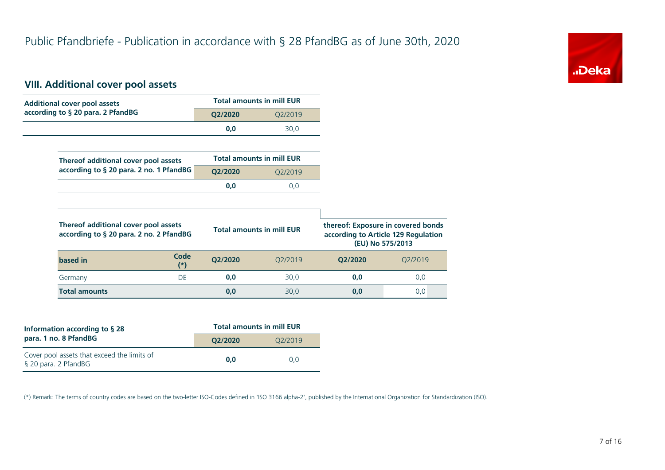

#### **VIII. Additional cover pool assets**

| <b>Additional cover pool assets</b>                                             |                      |         | <b>Total amounts in mill EUR</b> |                                                                           |                  |
|---------------------------------------------------------------------------------|----------------------|---------|----------------------------------|---------------------------------------------------------------------------|------------------|
| according to § 20 para. 2 PfandBG                                               |                      | Q2/2020 | Q2/2019                          |                                                                           |                  |
|                                                                                 |                      | 0,0     | 30,0                             |                                                                           |                  |
|                                                                                 |                      |         |                                  |                                                                           |                  |
| Thereof additional cover pool assets                                            |                      |         | <b>Total amounts in mill EUR</b> |                                                                           |                  |
| according to § 20 para. 2 no. 1 PfandBG                                         |                      | Q2/2020 | Q2/2019                          |                                                                           |                  |
|                                                                                 |                      | 0,0     | 0,0                              |                                                                           |                  |
|                                                                                 |                      |         |                                  |                                                                           |                  |
|                                                                                 |                      |         |                                  |                                                                           |                  |
| Thereof additional cover pool assets<br>according to § 20 para. 2 no. 2 PfandBG |                      |         | <b>Total amounts in mill EUR</b> | thereof: Exposure in covered bonds<br>according to Article 129 Regulation | (EU) No 575/2013 |
| based in                                                                        | <b>Code</b><br>$(*)$ | Q2/2020 | Q2/2019                          | Q2/2020                                                                   | Q2/2019          |
| Germany                                                                         | <b>DE</b>            | 0,0     | 30,0                             | 0,0                                                                       | 0,0              |

| Information according to $\S$ 28                                    | <b>Total amounts in mill EUR</b> |         |  |  |  |
|---------------------------------------------------------------------|----------------------------------|---------|--|--|--|
| para. 1 no. 8 PfandBG                                               | O2/2020                          | O2/2019 |  |  |  |
| Cover pool assets that exceed the limits of<br>§ 20 para. 2 PfandBG | 0.0                              | 0.0     |  |  |  |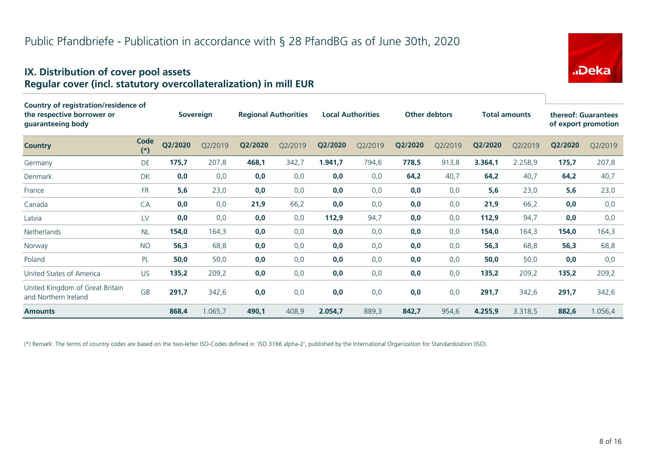#### **IX. Distribution of cover pool assets Regular cover (incl. statutory overcollateralization) in mill EUR**

| <b>Country of registration/residence of</b><br>the respective borrower or<br>guaranteeing body |               | Sovereign |         | <b>Regional Authorities</b> |         | <b>Local Authorities</b> |         |         | <b>Other debtors</b> | <b>Total amounts</b> |         |         | thereof: Guarantees<br>of export promotion |
|------------------------------------------------------------------------------------------------|---------------|-----------|---------|-----------------------------|---------|--------------------------|---------|---------|----------------------|----------------------|---------|---------|--------------------------------------------|
| <b>Country</b>                                                                                 | Code<br>$(*)$ | Q2/2020   | O2/2019 | Q2/2020                     | Q2/2019 | Q2/2020                  | Q2/2019 | Q2/2020 | Q2/2019              | Q2/2020              | Q2/2019 | Q2/2020 | Q2/2019                                    |
| Germany                                                                                        | DE            | 175,7     | 207,8   | 468,1                       | 342,7   | 1.941,7                  | 794,6   | 778,5   | 913,8                | 3.364,1              | 2.258,9 | 175,7   | 207,8                                      |
| <b>Denmark</b>                                                                                 | <b>DK</b>     | 0,0       | 0,0     | 0,0                         | 0,0     | 0,0                      | 0,0     | 64,2    | 40,7                 | 64,2                 | 40,7    | 64,2    | 40,7                                       |
| France                                                                                         | <b>FR</b>     | 5,6       | 23,0    | 0,0                         | 0,0     | 0,0                      | 0,0     | 0,0     | 0,0                  | 5,6                  | 23,0    | 5,6     | 23,0                                       |
| Canada                                                                                         | CA            | 0,0       | 0,0     | 21,9                        | 66,2    | 0,0                      | 0,0     | 0,0     | 0,0                  | 21,9                 | 66,2    | 0,0     | 0,0                                        |
| Latvia                                                                                         | LV            | 0,0       | 0,0     | 0,0                         | 0,0     | 112,9                    | 94,7    | 0,0     | 0,0                  | 112,9                | 94,7    | 0,0     | 0,0                                        |
| <b>Netherlands</b>                                                                             | <b>NL</b>     | 154,0     | 164,3   | 0,0                         | 0,0     | 0,0                      | 0,0     | 0,0     | 0,0                  | 154,0                | 164,3   | 154,0   | 164,3                                      |
| Norway                                                                                         | <b>NO</b>     | 56,3      | 68,8    | 0,0                         | 0,0     | 0,0                      | 0,0     | 0,0     | 0,0                  | 56,3                 | 68,8    | 56,3    | 68,8                                       |
| Poland                                                                                         | PL            | 50,0      | 50,0    | 0,0                         | 0,0     | 0,0                      | 0,0     | 0,0     | 0,0                  | 50,0                 | 50,0    | 0,0     | 0,0                                        |
| United States of America                                                                       | US.           | 135,2     | 209,2   | 0,0                         | 0,0     | 0,0                      | 0,0     | 0,0     | 0,0                  | 135,2                | 209,2   | 135,2   | 209,2                                      |
| United Kingdom of Great Britain<br>and Northern Ireland                                        | <b>GB</b>     | 291,7     | 342,6   | 0,0                         | 0,0     | 0,0                      | 0,0     | 0,0     | 0,0                  | 291,7                | 342,6   | 291,7   | 342,6                                      |
| <b>Amounts</b>                                                                                 |               | 868,4     | 1.065,7 | 490,1                       | 408,9   | 2.054,7                  | 889,3   | 842,7   | 954,6                | 4.255,9              | 3.318,5 | 882,6   | 1.056,4                                    |

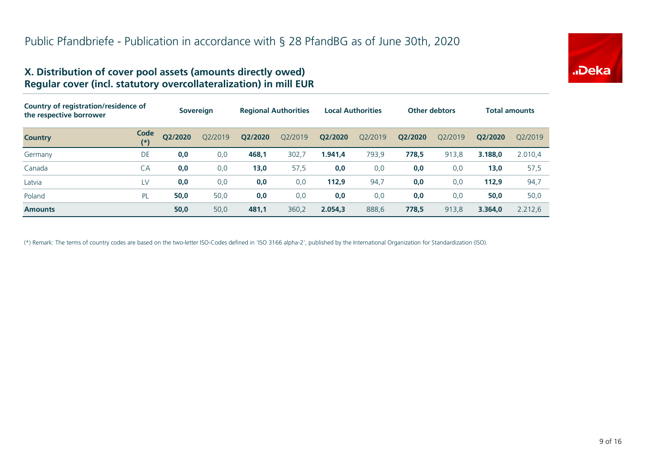

#### **X. Distribution of cover pool assets (amounts directly owed) Regular cover (incl. statutory overcollateralization) in mill EUR**

| Country of registration/residence of<br>the respective borrower |               | <b>Sovereign</b> |         | <b>Regional Authorities</b> |         | <b>Local Authorities</b> |         | <b>Other debtors</b> |         | Total amounts |         |
|-----------------------------------------------------------------|---------------|------------------|---------|-----------------------------|---------|--------------------------|---------|----------------------|---------|---------------|---------|
| <b>Country</b>                                                  | Code<br>$(*)$ | Q2/2020          | O2/2019 | Q2/2020                     | O2/2019 | Q2/2020                  | Q2/2019 | Q2/2020              | O2/2019 | O2/2020       | 02/2019 |
| Germany                                                         | DE            | 0,0              | 0,0     | 468,1                       | 302,7   | 1.941.4                  | 793,9   | 778,5                | 913,8   | 3.188.0       | 2.010,4 |
| Canada                                                          | CA            | 0,0              | 0,0     | 13,0                        | 57,5    | 0,0                      | 0,0     | 0,0                  | 0,0     | 13,0          | 57,5    |
| Latvia                                                          | LV            | 0,0              | 0,0     | 0,0                         | 0,0     | 112,9                    | 94,7    | 0,0                  | 0,0     | 112,9         | 94,7    |
| Poland                                                          | PL            | 50,0             | 50,0    | 0,0                         | 0,0     | 0,0                      | 0,0     | 0,0                  | 0,0     | 50,0          | 50,0    |
| <b>Amounts</b>                                                  |               | 50,0             | 50,0    | 481,1                       | 360,2   | 2.054.3                  | 888,6   | 778,5                | 913,8   | 3.364.0       | 2.212,6 |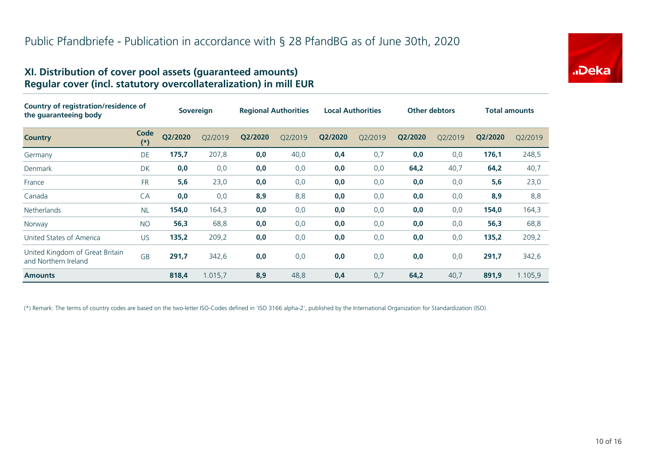# "Deka

#### **XI. Distribution of cover pool assets (guaranteed amounts) Regular cover (incl. statutory overcollateralization) in mill EUR**

| Country of registration/residence of<br>the guaranteeing body |                   | <b>Sovereign</b> |         | <b>Regional Authorities</b> |         | <b>Local Authorities</b> |         | <b>Other debtors</b> |         | Total amounts |         |
|---------------------------------------------------------------|-------------------|------------------|---------|-----------------------------|---------|--------------------------|---------|----------------------|---------|---------------|---------|
| <b>Country</b>                                                | Code<br>$^{\ast}$ | Q2/2020          | Q2/2019 | Q2/2020                     | Q2/2019 | Q2/2020                  | Q2/2019 | Q2/2020              | Q2/2019 | Q2/2020       | Q2/2019 |
| Germany                                                       | DE                | 175,7            | 207,8   | 0,0                         | 40,0    | 0,4                      | 0,7     | 0,0                  | 0,0     | 176,1         | 248,5   |
| Denmark                                                       | <b>DK</b>         | 0,0              | 0,0     | 0,0                         | 0,0     | 0,0                      | 0,0     | 64,2                 | 40,7    | 64,2          | 40,7    |
| France                                                        | <b>FR</b>         | $5,6$            | 23,0    | 0,0                         | 0,0     | 0,0                      | 0,0     | 0,0                  | 0,0     | 5,6           | 23,0    |
| Canada                                                        | CA                | 0,0              | 0,0     | 8,9                         | 8,8     | 0,0                      | 0,0     | 0,0                  | 0,0     | 8,9           | 8,8     |
| <b>Netherlands</b>                                            | <b>NL</b>         | 154,0            | 164,3   | 0,0                         | 0,0     | 0,0                      | 0,0     | 0,0                  | 0,0     | 154,0         | 164,3   |
| Norway                                                        | <b>NO</b>         | 56,3             | 68,8    | 0,0                         | 0,0     | 0,0                      | 0,0     | 0,0                  | 0,0     | 56,3          | 68,8    |
| United States of America                                      | <b>US</b>         | 135,2            | 209,2   | 0,0                         | 0,0     | 0,0                      | 0,0     | 0,0                  | 0,0     | 135,2         | 209,2   |
| United Kingdom of Great Britain<br>and Northern Ireland       | <b>GB</b>         | 291,7            | 342,6   | 0,0                         | 0,0     | 0,0                      | 0,0     | 0,0                  | 0,0     | 291,7         | 342,6   |
| <b>Amounts</b>                                                |                   | 818,4            | 1.015,7 | 8,9                         | 48,8    | 0,4                      | 0,7     | 64,2                 | 40,7    | 891,9         | 1.105,9 |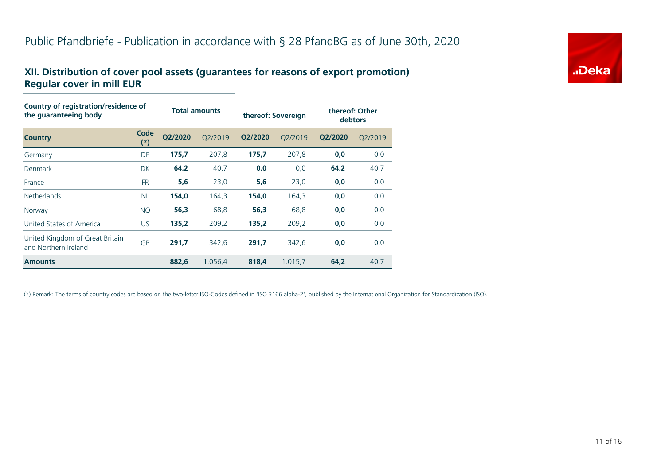### **XII. Distribution of cover pool assets (guarantees for reasons of export promotion) Regular cover in mill EUR**

| Country of registration/residence of<br>the guaranteeing body |               |                      |         |                    |         |                           |         |  |  |  |
|---------------------------------------------------------------|---------------|----------------------|---------|--------------------|---------|---------------------------|---------|--|--|--|
|                                                               |               | <b>Total amounts</b> |         | thereof: Sovereign |         | thereof: Other<br>debtors |         |  |  |  |
| <b>Country</b>                                                | Code<br>$(*)$ | O2/2020              | O2/2019 | O2/2020            | Q2/2019 | Q2/2020                   | Q2/2019 |  |  |  |
| Germany                                                       | DE            | 175,7                | 207,8   | 175,7              | 207,8   | 0,0                       | 0,0     |  |  |  |
| Denmark                                                       | <b>DK</b>     | 64,2                 | 40,7    | 0,0                | 0,0     | 64,2                      | 40,7    |  |  |  |
| France                                                        | <b>FR</b>     | 5,6                  | 23,0    | 5,6                | 23,0    | 0,0                       | 0,0     |  |  |  |
| <b>Netherlands</b>                                            | <b>NL</b>     | 154,0                | 164,3   | 154,0              | 164,3   | 0,0                       | 0,0     |  |  |  |
| Norway                                                        | <b>NO</b>     | 56,3                 | 68,8    | 56,3               | 68,8    | 0,0                       | 0,0     |  |  |  |
| United States of America                                      | US.           | 135,2                | 209,2   | 135,2              | 209,2   | 0,0                       | 0,0     |  |  |  |
| United Kingdom of Great Britain<br>and Northern Ireland       | GB            | 291,7                | 342,6   | 291,7              | 342,6   | 0,0                       | 0,0     |  |  |  |
| <b>Amounts</b>                                                |               | 882,6                | 1.056,4 | 818,4              | 1.015,7 | 64,2                      | 40,7    |  |  |  |

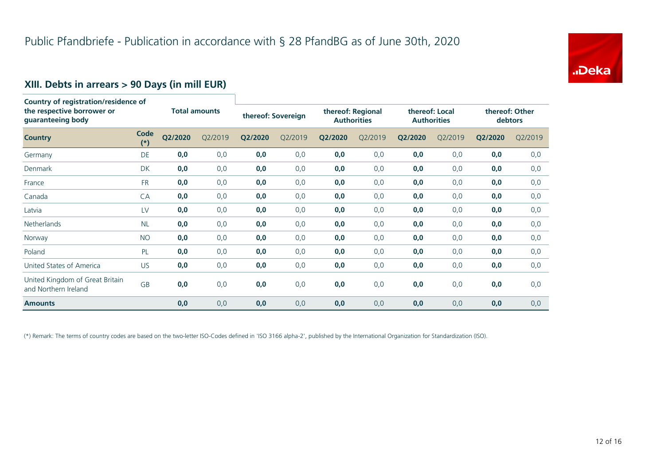

# **XIII. Debts in arrears > 90 Days (in mill EUR)**

| <b>Country of registration/residence of</b><br>the respective borrower or<br>guaranteeing body |               | <b>Total amounts</b> |         | thereof: Sovereign |         | thereof: Regional<br><b>Authorities</b> |         | thereof: Local<br><b>Authorities</b> |         | thereof: Other<br>debtors |         |
|------------------------------------------------------------------------------------------------|---------------|----------------------|---------|--------------------|---------|-----------------------------------------|---------|--------------------------------------|---------|---------------------------|---------|
| <b>Country</b>                                                                                 | Code<br>$(*)$ | Q2/2020              | Q2/2019 | Q2/2020            | Q2/2019 | Q2/2020                                 | Q2/2019 | Q2/2020                              | Q2/2019 | Q2/2020                   | Q2/2019 |
| Germany                                                                                        | <b>DE</b>     | 0,0                  | 0,0     | 0,0                | 0,0     | 0,0                                     | 0,0     | 0,0                                  | 0,0     | 0,0                       | 0,0     |
| Denmark                                                                                        | <b>DK</b>     | 0,0                  | 0,0     | 0,0                | 0,0     | 0,0                                     | 0,0     | 0,0                                  | 0,0     | 0,0                       | 0,0     |
| France                                                                                         | <b>FR</b>     | 0,0                  | 0,0     | 0,0                | 0,0     | 0,0                                     | 0,0     | 0,0                                  | 0,0     | 0,0                       | 0,0     |
| Canada                                                                                         | CA            | 0,0                  | 0,0     | 0,0                | 0,0     | 0,0                                     | 0,0     | 0,0                                  | 0,0     | 0,0                       | 0,0     |
| Latvia                                                                                         | LV            | 0,0                  | 0,0     | 0,0                | 0,0     | 0,0                                     | 0,0     | 0,0                                  | 0,0     | 0,0                       | 0,0     |
| Netherlands                                                                                    | <b>NL</b>     | 0,0                  | 0,0     | 0,0                | 0,0     | 0,0                                     | 0,0     | 0,0                                  | 0,0     | 0,0                       | 0,0     |
| Norway                                                                                         | <b>NO</b>     | 0,0                  | 0,0     | 0,0                | 0,0     | 0,0                                     | 0,0     | 0,0                                  | 0,0     | 0,0                       | 0,0     |
| Poland                                                                                         | PL            | 0,0                  | 0,0     | 0,0                | 0,0     | 0,0                                     | 0,0     | 0,0                                  | 0,0     | 0,0                       | 0,0     |
| United States of America                                                                       | US            | 0,0                  | 0,0     | 0,0                | 0,0     | 0,0                                     | 0,0     | 0,0                                  | 0,0     | 0,0                       | 0,0     |
| United Kingdom of Great Britain<br>and Northern Ireland                                        | GB            | 0,0                  | 0,0     | 0,0                | 0,0     | 0,0                                     | 0,0     | 0,0                                  | 0,0     | 0,0                       | 0,0     |
| <b>Amounts</b>                                                                                 |               | 0,0                  | 0,0     | 0,0                | 0,0     | 0,0                                     | 0,0     | 0,0                                  | 0,0     | 0,0                       | 0,0     |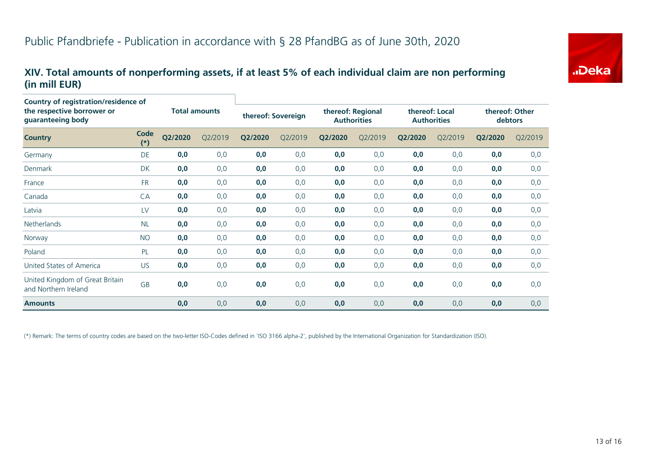## **XIV. Total amounts of nonperforming assets, if at least 5% of each individual claim are non performing (in mill EUR)**

| Country of registration/residence of<br>the respective borrower or<br>guaranteeing body |               |                      |         |         |                    |         |                                         |         |                                      |         |                           |
|-----------------------------------------------------------------------------------------|---------------|----------------------|---------|---------|--------------------|---------|-----------------------------------------|---------|--------------------------------------|---------|---------------------------|
|                                                                                         |               | <b>Total amounts</b> |         |         | thereof: Sovereign |         | thereof: Regional<br><b>Authorities</b> |         | thereof: Local<br><b>Authorities</b> |         | thereof: Other<br>debtors |
| <b>Country</b>                                                                          | Code<br>$(*)$ | Q2/2020              | Q2/2019 | Q2/2020 | Q2/2019            | Q2/2020 | Q2/2019                                 | Q2/2020 | Q2/2019                              | Q2/2020 | Q2/2019                   |
| Germany                                                                                 | <b>DE</b>     | 0,0                  | 0,0     | 0,0     | 0,0                | 0,0     | 0,0                                     | 0,0     | 0,0                                  | 0,0     | 0,0                       |
| Denmark                                                                                 | <b>DK</b>     | 0,0                  | 0,0     | 0,0     | 0,0                | 0,0     | 0,0                                     | 0,0     | 0,0                                  | 0,0     | 0,0                       |
| France                                                                                  | <b>FR</b>     | 0,0                  | 0,0     | 0,0     | 0,0                | 0,0     | 0,0                                     | 0,0     | 0,0                                  | 0,0     | 0,0                       |
| Canada                                                                                  | CA            | 0,0                  | 0,0     | 0,0     | 0,0                | 0,0     | 0,0                                     | 0,0     | 0,0                                  | 0,0     | 0,0                       |
| Latvia                                                                                  | LV            | 0,0                  | 0,0     | 0,0     | 0,0                | 0,0     | 0,0                                     | 0,0     | 0,0                                  | 0,0     | 0,0                       |
| <b>Netherlands</b>                                                                      | <b>NL</b>     | 0,0                  | 0,0     | 0,0     | 0,0                | 0,0     | 0,0                                     | 0,0     | 0,0                                  | 0,0     | 0,0                       |
| Norway                                                                                  | <b>NO</b>     | 0,0                  | 0,0     | 0,0     | 0,0                | 0,0     | 0,0                                     | 0,0     | 0,0                                  | 0,0     | 0,0                       |
| Poland                                                                                  | PL            | 0,0                  | 0,0     | 0,0     | 0,0                | 0,0     | 0,0                                     | 0,0     | 0,0                                  | 0,0     | 0,0                       |
| United States of America                                                                | <b>US</b>     | 0,0                  | 0,0     | 0,0     | 0,0                | 0,0     | 0,0                                     | 0,0     | 0,0                                  | 0,0     | 0,0                       |
| United Kingdom of Great Britain<br>and Northern Ireland                                 | <b>GB</b>     | 0,0                  | 0,0     | 0,0     | 0,0                | 0,0     | 0,0                                     | 0,0     | 0,0                                  | 0,0     | 0,0                       |
| <b>Amounts</b>                                                                          |               | 0,0                  | 0,0     | 0,0     | 0,0                | 0,0     | 0,0                                     | 0,0     | 0, 0                                 | 0,0     | 0,0                       |

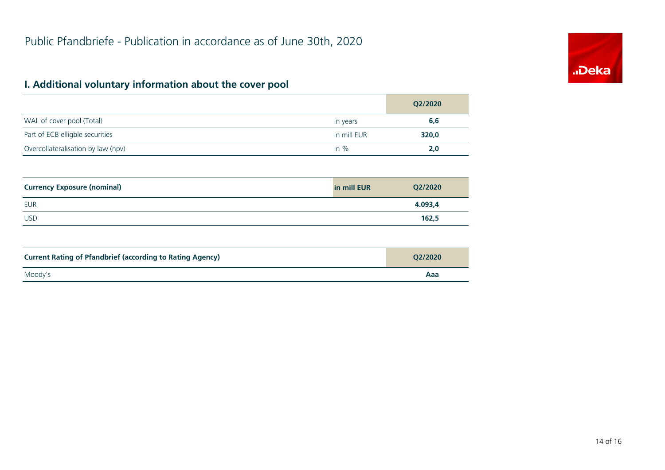# "Deka

# **I. Additional voluntary information about the cover pool**

|                                    |             | Q2/2020 |
|------------------------------------|-------------|---------|
| WAL of cover pool (Total)          | in years    | 6,6     |
| Part of ECB elligble securities    | in mill EUR | 320,0   |
| Overcollateralisation by law (npv) | in $%$      | 2.0     |

| <b>Currency Exposure (nominal)</b> | in mill EUR | Q2/2020 |
|------------------------------------|-------------|---------|
| <b>EUR</b>                         |             | 4.093,4 |
| <b>USD</b>                         |             | 162,5   |

| <b>Current Rating of Pfandbrief (according to Rating Agency)</b> | O2/2020 |
|------------------------------------------------------------------|---------|
| Moody's                                                          | Aaa     |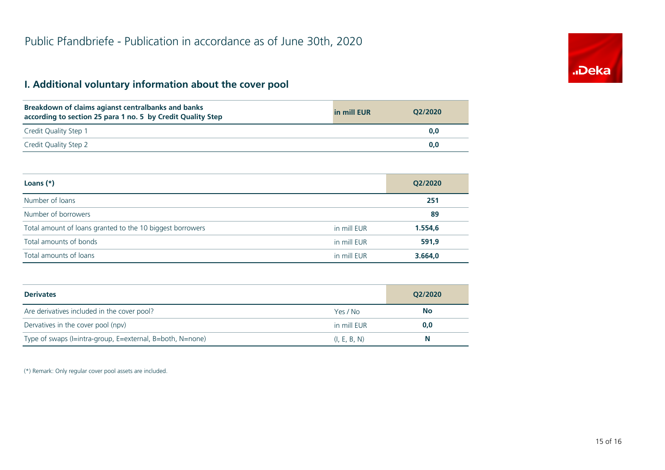# **I. Additional voluntary information about the cover pool**

| Breakdown of claims agianst centralbanks and banks<br>according to section 25 para 1 no. 5 by Credit Quality Step | in mill EUR | O2/2020 |
|-------------------------------------------------------------------------------------------------------------------|-------------|---------|
| Credit Quality Step 1                                                                                             |             | 0,0     |
| Credit Quality Step 2                                                                                             |             | 0.0     |

| Loans $(*)$                                               |             | Q2/2020 |
|-----------------------------------------------------------|-------------|---------|
| Number of loans                                           |             | 251     |
| Number of borrowers                                       |             | 89      |
| Total amount of loans granted to the 10 biggest borrowers | in mill EUR | 1.554,6 |
| Total amounts of bonds                                    | in mill EUR | 591,9   |
| Total amounts of loans                                    | in mill EUR | 3.664,0 |

| <b>Derivates</b>                                          |              | Q2/2020   |
|-----------------------------------------------------------|--------------|-----------|
| Are derivatives included in the cover pool?               | Yes / No     | <b>No</b> |
| Dervatives in the cover pool (npv)                        | in mill EUR  | 0,0       |
| Type of swaps (I=intra-group, E=external, B=both, N=none) | (I, E, B, N) | N         |

(\*) Remark: Only regular cover pool assets are included.